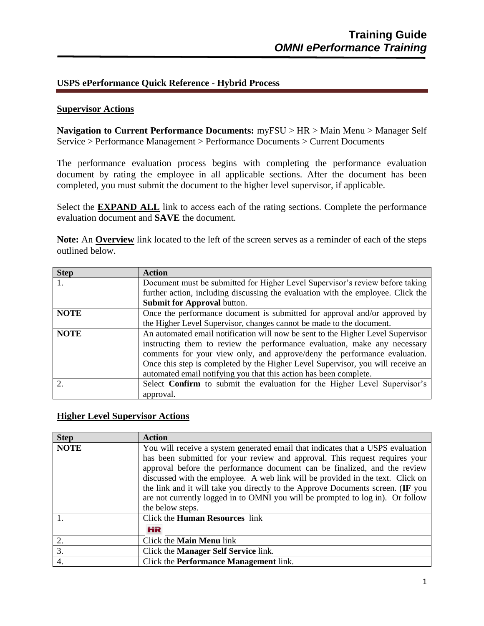## **USPS ePerformance Quick Reference - Hybrid Process**

## **Supervisor Actions**

**Navigation to Current Performance Documents:** myFSU > HR > Main Menu > Manager Self Service > Performance Management > Performance Documents > Current Documents

The performance evaluation process begins with completing the performance evaluation document by rating the employee in all applicable sections. After the document has been completed, you must submit the document to the higher level supervisor, if applicable.

Select the **EXPAND ALL** link to access each of the rating sections. Complete the performance evaluation document and **SAVE** the document.

**Note:** An **Overview** link located to the left of the screen serves as a reminder of each of the steps outlined below.

| <b>Step</b>                 | <b>Action</b>                                                                    |
|-----------------------------|----------------------------------------------------------------------------------|
|                             | Document must be submitted for Higher Level Supervisor's review before taking    |
|                             | further action, including discussing the evaluation with the employee. Click the |
|                             | Submit for Approval button.                                                      |
| <b>NOTE</b>                 | Once the performance document is submitted for approval and/or approved by       |
|                             | the Higher Level Supervisor, changes cannot be made to the document.             |
| <b>NOTE</b>                 | An automated email notification will now be sent to the Higher Level Supervisor  |
|                             | instructing them to review the performance evaluation, make any necessary        |
|                             | comments for your view only, and approve/deny the performance evaluation.        |
|                             | Once this step is completed by the Higher Level Supervisor, you will receive an  |
|                             | automated email notifying you that this action has been complete.                |
| $\mathcal{D}_{\mathcal{L}}$ | Select <b>Confirm</b> to submit the evaluation for the Higher Level Supervisor's |
|                             | approval.                                                                        |

## **Higher Level Supervisor Actions**

| <b>Step</b> | <b>Action</b>                                                                   |
|-------------|---------------------------------------------------------------------------------|
| <b>NOTE</b> | You will receive a system generated email that indicates that a USPS evaluation |
|             | has been submitted for your review and approval. This request requires your     |
|             | approval before the performance document can be finalized, and the review       |
|             | discussed with the employee. A web link will be provided in the text. Click on  |
|             | the link and it will take you directly to the Approve Documents screen. (IF you |
|             | are not currently logged in to OMNI you will be prompted to log in). Or follow  |
|             | the below steps.                                                                |
|             | Click the <b>Human Resources</b> link                                           |
|             | HR                                                                              |
| 2.          | Click the <b>Main Menu</b> link                                                 |
| 3.          | Click the <b>Manager Self Service</b> link.                                     |
| 4.          | Click the <b>Performance Management</b> link.                                   |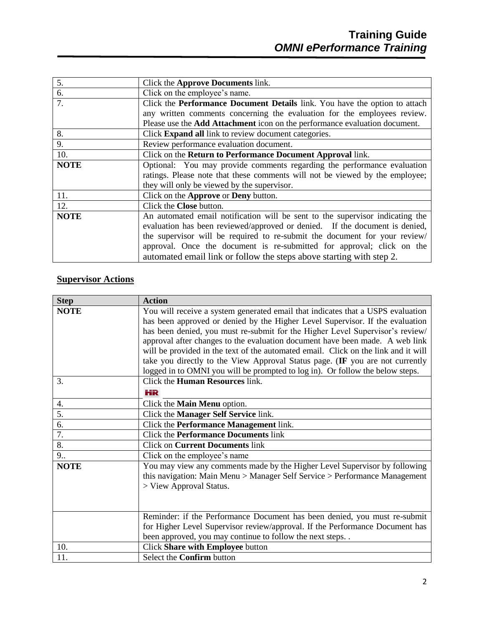| 5.          | Click the Approve Documents link.                                                 |
|-------------|-----------------------------------------------------------------------------------|
| 6.          | Click on the employee's name.                                                     |
| 7.          | Click the Performance Document Details link. You have the option to attach        |
|             | any written comments concerning the evaluation for the employees review.          |
|             | Please use the <b>Add Attachment</b> icon on the performance evaluation document. |
| 8.          | Click <b>Expand all</b> link to review document categories.                       |
| 9.          | Review performance evaluation document.                                           |
| 10.         | Click on the Return to Performance Document Approval link.                        |
| <b>NOTE</b> | Optional: You may provide comments regarding the performance evaluation           |
|             | ratings. Please note that these comments will not be viewed by the employee;      |
|             | they will only be viewed by the supervisor.                                       |
| 11.         | Click on the Approve or Deny button.                                              |
| 12.         | Click the Close button.                                                           |
| <b>NOTE</b> | An automated email notification will be sent to the supervisor indicating the     |
|             | evaluation has been reviewed/approved or denied. If the document is denied,       |
|             | the supervisor will be required to re-submit the document for your review/        |
|             | approval. Once the document is re-submitted for approval; click on the            |
|             | automated email link or follow the steps above starting with step 2.              |

## **Supervisor Actions**

| <b>Step</b>      | <b>Action</b>                                                                      |
|------------------|------------------------------------------------------------------------------------|
| <b>NOTE</b>      | You will receive a system generated email that indicates that a USPS evaluation    |
|                  | has been approved or denied by the Higher Level Supervisor. If the evaluation      |
|                  | has been denied, you must re-submit for the Higher Level Supervisor's review/      |
|                  | approval after changes to the evaluation document have been made. A web link       |
|                  | will be provided in the text of the automated email. Click on the link and it will |
|                  | take you directly to the View Approval Status page. (IF you are not currently      |
|                  | logged in to OMNI you will be prompted to log in). Or follow the below steps.      |
| 3.               | Click the <b>Human Resources</b> link.                                             |
|                  | НR                                                                                 |
| 4.               | Click the Main Menu option.                                                        |
| 5.               | Click the Manager Self Service link.                                               |
| 6.               | Click the Performance Management link.                                             |
| $\overline{7}$ . | <b>Click the Performance Documents link</b>                                        |
| 8.               | <b>Click on Current Documents link</b>                                             |
| 9                | Click on the employee's name                                                       |
| <b>NOTE</b>      | You may view any comments made by the Higher Level Supervisor by following         |
|                  | this navigation: Main Menu > Manager Self Service > Performance Management         |
|                  | > View Approval Status.                                                            |
|                  |                                                                                    |
|                  |                                                                                    |
|                  | Reminder: if the Performance Document has been denied, you must re-submit          |
|                  | for Higher Level Supervisor review/approval. If the Performance Document has       |
|                  | been approved, you may continue to follow the next steps. .                        |
| 10.              | Click Share with Employee button                                                   |
| 11.              | Select the Confirm button                                                          |